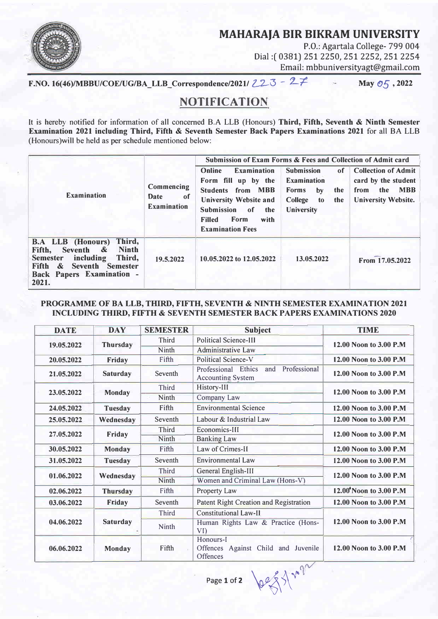## **MAHARAJA BIR BIKRAM UNIVERSITY**



P.O.: Agartala College- 799 004 Dial:( 0381) 251 2250, 251 2252, 251 2254 Email: mbbuniversityagt@gmail.com

F.NO. 16(46)/MBBU/COE/UG/BA\_LLB\_Correspondence/2021/ 223 - 27

May  $\mathcal{O}_2$ , 2022

## **NOTIFICATIQN**

It is hereby notified for information of all concerned B.A LLB (Honours) Third, Fifth, Seventh **&** Ninth Semester Examination 2021 including Third, Fifth & Seventh Semester Back Papers Examinations 2021 for all BA LLB (Honours)will be held as per schedule mentioned below:

| <b>Examination</b>                                                                                                                                                                       | Commencing<br><b>Date</b><br>-of<br><b>Examination</b> | Submission of Exam Forms & Fees and Collection of Admit card                                                                                                                                                   |                                                                                                                         |                                                                                                              |
|------------------------------------------------------------------------------------------------------------------------------------------------------------------------------------------|--------------------------------------------------------|----------------------------------------------------------------------------------------------------------------------------------------------------------------------------------------------------------------|-------------------------------------------------------------------------------------------------------------------------|--------------------------------------------------------------------------------------------------------------|
|                                                                                                                                                                                          |                                                        | <b>Examination</b><br>Online<br>Form fill up by the<br><b>Students from MBB</b><br><b>University Website and</b><br><b>Submission</b><br>of<br>the<br>Form<br><b>Filled</b><br>with<br><b>Examination Fees</b> | <b>Submission</b><br>of<br><b>Examination</b><br><b>Forms</b><br>by<br>the<br>College<br>the<br>to<br><b>University</b> | <b>Collection of Admit</b><br>card by the student<br>the<br><b>MBB</b><br>from<br><b>University Website.</b> |
| Third,<br><b>B.A LLB (Honours)</b><br><b>Ninth</b><br>Seventh &<br>Fifth,<br>including<br>Third,<br><b>Semester</b><br>Seventh Semester<br>Fifth &<br>Back Papers Examination -<br>2021. | 19.5.2022                                              | 10.05.2022 to 12.05.2022                                                                                                                                                                                       | 13.05.2022                                                                                                              | From 17.05.2022                                                                                              |

## PROGRAMME OF BA LLB, THIRD, FIFTH, SEVENTH & NINTH SEMESTER EXAMINATION 2021 INCLUDING THIRD, FIFTH **&** SEVENTH SEMESTER BACK PAPERS EXAMINATIONS 2020

| <b>DATE</b>                   | <b>DAY</b>           | <b>SEMESTER</b> | <b>Subject</b>                                                         | <b>TIME</b>             |  |
|-------------------------------|----------------------|-----------------|------------------------------------------------------------------------|-------------------------|--|
| 19.05.2022<br><b>Thursday</b> |                      | Third           | <b>Political Science-III</b>                                           | 12.00 Noon to 3.00 P.M. |  |
|                               |                      | Ninth           | <b>Administrative Law</b>                                              |                         |  |
| 20.05.2022                    | Friday               | Fifth           | <b>Political Science-V</b>                                             | 12.00 Noon to 3.00 P.M  |  |
| 21.05.2022                    | <b>Saturday</b>      | Seventh         | Professional<br>Professional Ethics<br>and<br><b>Accounting System</b> | 12.00 Noon to 3.00 P.M  |  |
| 23.05.2022<br><b>Monday</b>   |                      | <b>Third</b>    | History-III                                                            |                         |  |
|                               |                      | Ninth           | Company Law                                                            | 12.00 Noon to 3.00 P.M  |  |
| 24.05.2022                    | <b>Tuesday</b>       | Fifth           | <b>Environmental Science</b>                                           | 12.00 Noon to 3.00 P.M  |  |
| 25.05.2022                    | Wednesday            | Seventh         | Labour & Industrial Law                                                | 12.00 Noon to 3.00 P.M  |  |
|                               |                      | Third           | Economics-III                                                          |                         |  |
|                               | Friday<br>27.05.2022 | Ninth           | <b>Banking Law</b>                                                     | 12.00 Noon to 3.00 P.M  |  |
| 30.05.2022                    | <b>Monday</b>        | Fifth           | Law of Crimes-II                                                       | 12.00 Noon to 3.00 P.M  |  |
| 31.05.2022                    | <b>Tuesday</b>       | Seventh         | <b>Environmental Law</b>                                               | 12.00 Noon to 3.00 P.M  |  |
| 01.06.2022<br>Wednesday       |                      | <b>Third</b>    | General English-III                                                    | 12.00 Noon to 3.00 P.M. |  |
|                               |                      | <b>Ninth</b>    | Women and Criminal Law (Hons-V)                                        |                         |  |
| 02.06.2022                    | <b>Thursday</b>      | Fifth           | Property Law                                                           | 12.00 Noon to 3.00 P.M  |  |
| 03.06.2022                    | Friday               | Seventh         | Patent Right Creation and Registration                                 | 12.00 Noon to 3.00 P.M  |  |
| 04.06.2022                    |                      | <b>Third</b>    | <b>Constitutional Law-II</b>                                           |                         |  |
|                               | <b>Saturday</b>      | Ninth           | Human Rights Law & Practice (Hons-<br>VI)                              | 12.00 Noon to 3.00 P.M  |  |
| 06.06.2022                    | <b>Monday</b>        | Fifth           | Honours-I<br>Offences Against Child and Juvenile<br>Offences           | 12.00 Noon to 3.00 P.M  |  |

Page 1 of 2  $\left\{ \begin{matrix} 2 & 0 \\ 0 & \end{matrix} \right\}$ 

 $\mathcal{V}^{\vee}$